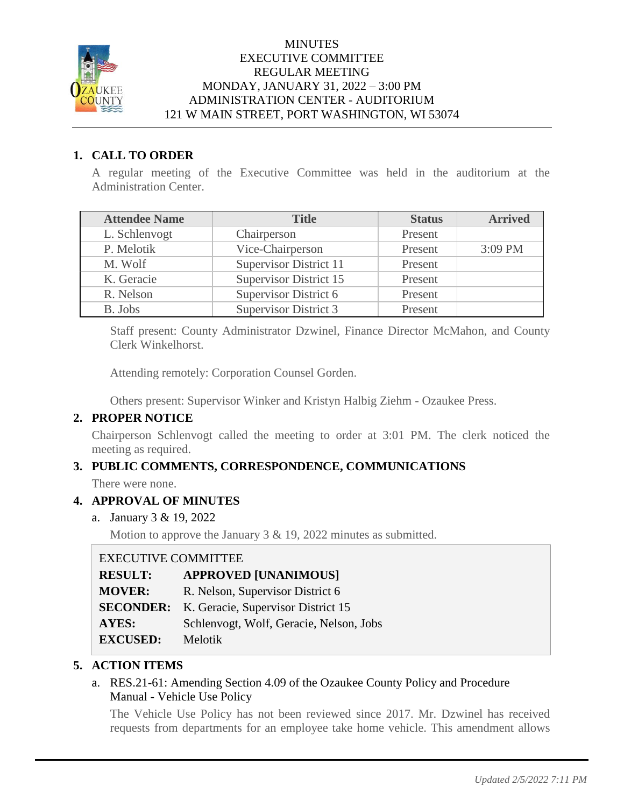

### **MINUTES** EXECUTIVE COMMITTEE REGULAR MEETING MONDAY, JANUARY 31, 2022 – 3:00 PM ADMINISTRATION CENTER - AUDITORIUM 121 W MAIN STREET, PORT WASHINGTON, WI 53074

## **1. CALL TO ORDER**

A regular meeting of the Executive Committee was held in the auditorium at the Administration Center.

| <b>Attendee Name</b> | <b>Title</b>                  | <b>Status</b> | <b>Arrived</b> |
|----------------------|-------------------------------|---------------|----------------|
| L. Schlenvogt        | Chairperson                   | Present       |                |
| P. Melotik           | Vice-Chairperson              | Present       | $3:09$ PM      |
| M. Wolf              | <b>Supervisor District 11</b> | Present       |                |
| K. Geracie           | <b>Supervisor District 15</b> | Present       |                |
| R. Nelson            | Supervisor District 6         | Present       |                |
| B. Jobs              | Supervisor District 3         | Present       |                |

Staff present: County Administrator Dzwinel, Finance Director McMahon, and County Clerk Winkelhorst.

Attending remotely: Corporation Counsel Gorden.

Others present: Supervisor Winker and Kristyn Halbig Ziehm - Ozaukee Press.

### **2. PROPER NOTICE**

Chairperson Schlenvogt called the meeting to order at 3:01 PM. The clerk noticed the meeting as required.

# **3. PUBLIC COMMENTS, CORRESPONDENCE, COMMUNICATIONS**

There were none.

### **4. APPROVAL OF MINUTES**

a. January 3 & 19, 2022

Motion to approve the January 3 & 19, 2022 minutes as submitted.

### EXECUTIVE COMMITTEE

| <b>RESULT:</b>  | <b>APPROVED [UNANIMOUS]</b>                         |
|-----------------|-----------------------------------------------------|
| <b>MOVER:</b>   | R. Nelson, Supervisor District 6                    |
|                 | <b>SECONDER:</b> K. Geracie, Supervisor District 15 |
| <b>AYES:</b>    | Schlenvogt, Wolf, Geracie, Nelson, Jobs             |
| <b>EXCUSED:</b> | Melotik                                             |

### **5. ACTION ITEMS**

### a. RES.21-61: Amending Section 4.09 of the Ozaukee County Policy and Procedure Manual - Vehicle Use Policy

The Vehicle Use Policy has not been reviewed since 2017. Mr. Dzwinel has received requests from departments for an employee take home vehicle. This amendment allows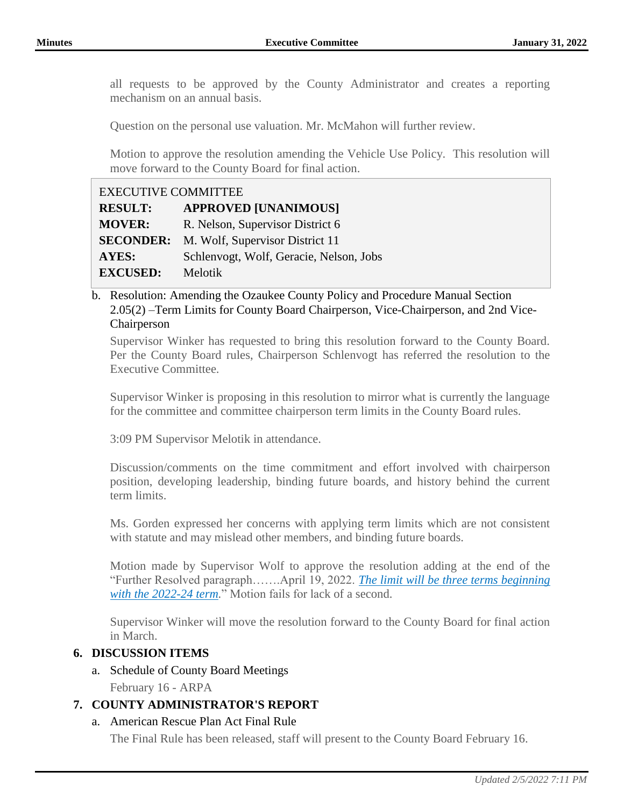all requests to be approved by the County Administrator and creates a reporting mechanism on an annual basis.

Question on the personal use valuation. Mr. McMahon will further review.

Motion to approve the resolution amending the Vehicle Use Policy. This resolution will move forward to the County Board for final action.

| <b>EXECUTIVE COMMITTEE</b> |                                         |  |
|----------------------------|-----------------------------------------|--|
| <b>RESULT:</b>             | <b>APPROVED [UNANIMOUS]</b>             |  |
| <b>MOVER:</b>              | R. Nelson, Supervisor District 6        |  |
| <b>SECONDER:</b>           | M. Wolf, Supervisor District 11         |  |
| <b>AYES:</b>               | Schlenvogt, Wolf, Geracie, Nelson, Jobs |  |
| <b>EXCUSED:</b>            | Melotik                                 |  |

b. Resolution: Amending the Ozaukee County Policy and Procedure Manual Section 2.05(2) –Term Limits for County Board Chairperson, Vice-Chairperson, and 2nd Vice-Chairperson

Supervisor Winker has requested to bring this resolution forward to the County Board. Per the County Board rules, Chairperson Schlenvogt has referred the resolution to the Executive Committee.

Supervisor Winker is proposing in this resolution to mirror what is currently the language for the committee and committee chairperson term limits in the County Board rules.

3:09 PM Supervisor Melotik in attendance.

Discussion/comments on the time commitment and effort involved with chairperson position, developing leadership, binding future boards, and history behind the current term limits.

Ms. Gorden expressed her concerns with applying term limits which are not consistent with statute and may mislead other members, and binding future boards.

Motion made by Supervisor Wolf to approve the resolution adding at the end of the "Further Resolved paragraph…….April 19, 2022. *The limit will be three terms beginning with the 2022-24 term.*" Motion fails for lack of a second.

Supervisor Winker will move the resolution forward to the County Board for final action in March.

# **6. DISCUSSION ITEMS**

- a. Schedule of County Board Meetings
	- February 16 ARPA

### **7. COUNTY ADMINISTRATOR'S REPORT**

### a. American Rescue Plan Act Final Rule

The Final Rule has been released, staff will present to the County Board February 16.